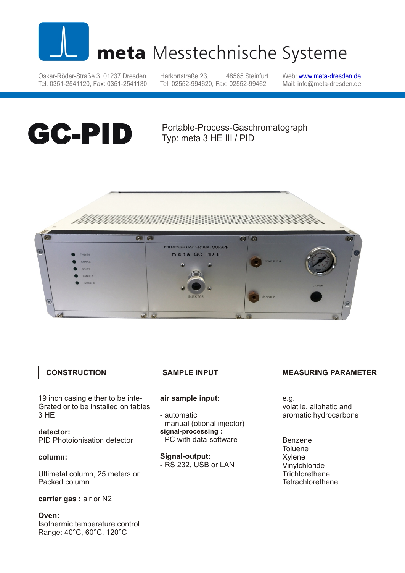

# meta Messtechnische Systeme

Oskar-Röder-Straße 3, 01237 Dresden Tel. 0351-2541120, Fax: 0351-2541130 Harkortstraße 23, 48565 Steinfurt Tel. 02552-994620, Fax: 02552-99462

Web: <u>w[ww.meta-dresden.de](http://www.meta-dresden.de)</u> Mail: info@meta-dresden.de

# **GC-PID**

Portable-Process-Gaschromatograph Typ: meta 3 HE III / PID





| <b>CONSTRUCTION</b>                                                      | <b>SAMPLE INPUT</b>                      | <b>MEASURING PARAMETER</b>       |
|--------------------------------------------------------------------------|------------------------------------------|----------------------------------|
|                                                                          |                                          |                                  |
| 19 inch casing either to be inte-<br>Grated or to be installed on tables | air sample input:                        | e.g.:<br>volatile, aliphatic and |
| 3 HE                                                                     | - automatic<br>manual (otional injector) | aromatic hydrocarbons            |

**detector:** PID Photoionisation detector

# **column:**

Ultimetal column, 25 meters or Packed column

**carrier gas :** air or N2

**Oven:** Isothermic temperature control Range: 40°C, 60°C, 120°C

- manual (otional injector)
- **signal-processing :**
- PC with data-software

**Signal-output:**

- RS 232, USB or LAN
- Benzene **Toluene** Xylene **Vinylchloride Trichlorethene Tetrachlorethene**